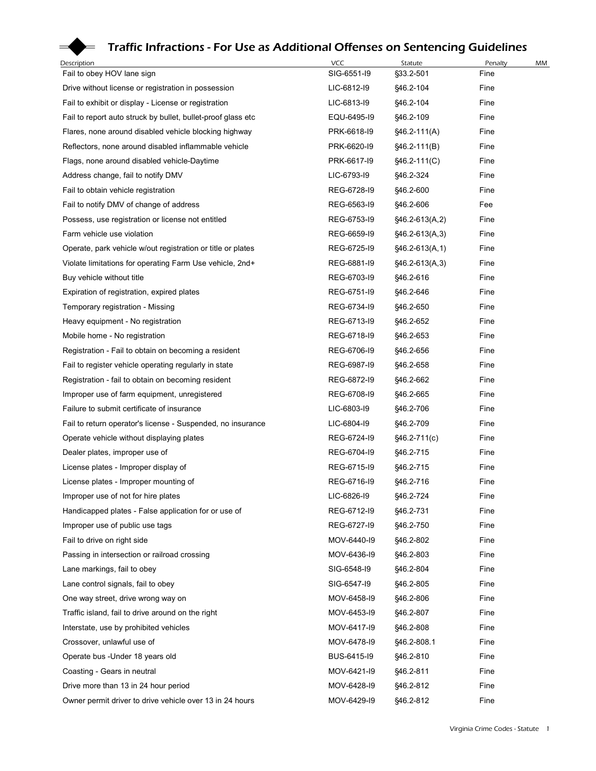## Traffic Infractions - For Use as Additional Offenses on Sentencing Guidelines

| Description                                                                       | <b>VCC</b>                 | Statute                   | Penalty      | МM |
|-----------------------------------------------------------------------------------|----------------------------|---------------------------|--------------|----|
| Fail to obey HOV lane sign                                                        | SIG-6551-I9                | §33.2-501                 | Fine         |    |
| Drive without license or registration in possession                               | LIC-6812-I9                | §46.2-104                 | Fine         |    |
| Fail to exhibit or display - License or registration                              | LIC-6813-I9                | §46.2-104                 | Fine         |    |
| Fail to report auto struck by bullet, bullet-proof glass etc                      | EQU-6495-19                | §46.2-109                 | Fine         |    |
| Flares, none around disabled vehicle blocking highway                             | PRK-6618-I9                | $$46.2-111(A)$            | Fine         |    |
| Reflectors, none around disabled inflammable vehicle                              | PRK-6620-I9                | $§46.2-111(B)$            | Fine         |    |
| Flags, none around disabled vehicle-Daytime<br>Address change, fail to notify DMV | PRK-6617-19<br>LIC-6793-I9 | §46.2-111(C)<br>§46.2-324 | Fine<br>Fine |    |
| Fail to obtain vehicle registration                                               | REG-6728-I9                | §46.2-600                 | Fine         |    |
| Fail to notify DMV of change of address                                           | REG-6563-I9                | §46.2-606                 | Fee          |    |
| Possess, use registration or license not entitled                                 | REG-6753-19                | §46.2-613(A,2)            | Fine         |    |
| Farm vehicle use violation                                                        | REG-6659-19                | $§46.2-613(A,3)$          | Fine         |    |
| Operate, park vehicle w/out registration or title or plates                       | REG-6725-19                | $§46.2-613(A,1)$          | Fine         |    |
| Violate limitations for operating Farm Use vehicle, 2nd+                          | REG-6881-I9                | §46.2-613(A,3)            | Fine         |    |
| Buy vehicle without title                                                         | REG-6703-I9                | §46.2-616                 | Fine         |    |
| Expiration of registration, expired plates                                        | REG-6751-I9                | §46.2-646                 | Fine         |    |
| Temporary registration - Missing                                                  | REG-6734-I9                | §46.2-650                 | Fine         |    |
| Heavy equipment - No registration                                                 | REG-6713-I9                | §46.2-652                 | Fine         |    |
| Mobile home - No registration                                                     | REG-6718-I9                | §46.2-653                 | Fine         |    |
| Registration - Fail to obtain on becoming a resident                              | REG-6706-I9                | §46.2-656                 | Fine         |    |
| Fail to register vehicle operating regularly in state                             | REG-6987-19                | §46.2-658                 | Fine         |    |
| Registration - fail to obtain on becoming resident                                | REG-6872-I9                | §46.2-662                 | Fine         |    |
| Improper use of farm equipment, unregistered                                      | REG-6708-I9                | §46.2-665                 | Fine         |    |
| Failure to submit certificate of insurance                                        | LIC-6803-I9                | §46.2-706                 | Fine         |    |
| Fail to return operator's license - Suspended, no insurance                       | LIC-6804-I9<br>REG-6724-I9 | §46.2-709                 | Fine<br>Fine |    |
| Operate vehicle without displaying plates<br>Dealer plates, improper use of       | REG-6704-I9                | §46.2-711(c)<br>§46.2-715 | Fine         |    |
| License plates - Improper display of                                              | REG-6715-I9                | §46.2-715                 | Fine         |    |
| License plates - Improper mounting of                                             | REG-6716-I9                | §46.2-716                 | Fine         |    |
| Improper use of not for hire plates                                               | LIC-6826-I9                | §46.2-724                 | Fine         |    |
| Handicapped plates - False application for or use of                              | REG-6712-I9                | §46.2-731                 | Fine         |    |
| Improper use of public use tags                                                   | REG-6727-19                | §46.2-750                 | Fine         |    |
| Fail to drive on right side                                                       | MOV-6440-I9                | §46.2-802                 | Fine         |    |
| Passing in intersection or railroad crossing                                      | MOV-6436-I9                | §46.2-803                 | Fine         |    |
| Lane markings, fail to obey                                                       | SIG-6548-I9                | §46.2-804                 | Fine         |    |
| Lane control signals, fail to obey                                                | SIG-6547-I9                | §46.2-805                 | Fine         |    |
| One way street, drive wrong way on                                                | MOV-6458-I9                | §46.2-806                 | Fine         |    |
| Traffic island, fail to drive around on the right                                 | MOV-6453-I9                | §46.2-807                 | Fine         |    |
| Interstate, use by prohibited vehicles                                            | MOV-6417-I9                | §46.2-808                 | Fine         |    |
| Crossover, unlawful use of                                                        | MOV-6478-I9                | §46.2-808.1               | Fine         |    |
| Operate bus - Under 18 years old                                                  | BUS-6415-I9                | §46.2-810                 | Fine         |    |
| Coasting - Gears in neutral                                                       | MOV-6421-I9                | §46.2-811                 | Fine         |    |
| Drive more than 13 in 24 hour period                                              | MOV-6428-I9                | §46.2-812                 | Fine         |    |
| Owner permit driver to drive vehicle over 13 in 24 hours                          | MOV-6429-I9                | §46.2-812                 | Fine         |    |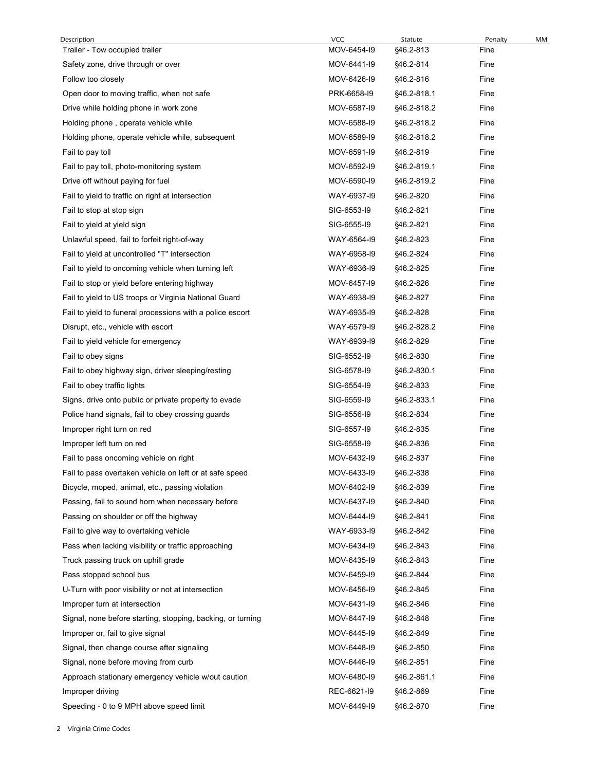| Description                                                                                                | <b>VCC</b>                 | Statute                    | Penalty      | МM |
|------------------------------------------------------------------------------------------------------------|----------------------------|----------------------------|--------------|----|
| Trailer - Tow occupied trailer                                                                             | MOV-6454-I9                | §46.2-813                  | Fine         |    |
| Safety zone, drive through or over                                                                         | MOV-6441-I9                | §46.2-814                  | Fine         |    |
| Follow too closely                                                                                         | MOV-6426-I9                | §46.2-816                  | Fine         |    |
| Open door to moving traffic, when not safe<br>Drive while holding phone in work zone                       | PRK-6658-I9<br>MOV-6587-I9 | §46.2-818.1<br>§46.2-818.2 | Fine<br>Fine |    |
| Holding phone, operate vehicle while                                                                       | MOV-6588-I9                | §46.2-818.2                | Fine         |    |
| Holding phone, operate vehicle while, subsequent                                                           | MOV-6589-I9                | §46.2-818.2                | Fine         |    |
| Fail to pay toll                                                                                           | MOV-6591-I9                | §46.2-819                  | Fine         |    |
| Fail to pay toll, photo-monitoring system                                                                  | MOV-6592-I9                | §46.2-819.1                | Fine         |    |
| Drive off without paying for fuel                                                                          | MOV-6590-I9                | §46.2-819.2                | Fine         |    |
| Fail to yield to traffic on right at intersection                                                          | WAY-6937-19                | §46.2-820                  | Fine         |    |
| Fail to stop at stop sign                                                                                  | SIG-6553-19                | §46.2-821                  | Fine         |    |
| Fail to yield at yield sign                                                                                | SIG-6555-19                | §46.2-821                  | Fine         |    |
| Unlawful speed, fail to forfeit right-of-way                                                               | WAY-6564-I9                | §46.2-823                  | Fine         |    |
| Fail to yield at uncontrolled "T" intersection                                                             | WAY-6958-I9                | §46.2-824                  | Fine         |    |
| Fail to yield to oncoming vehicle when turning left                                                        | WAY-6936-I9                | §46.2-825                  | Fine         |    |
| Fail to stop or yield before entering highway                                                              | MOV-6457-I9                | §46.2-826                  | Fine         |    |
| Fail to yield to US troops or Virginia National Guard                                                      | WAY-6938-I9                | §46.2-827                  | Fine         |    |
| Fail to yield to funeral processions with a police escort                                                  | WAY-6935-I9                | §46.2-828                  | Fine         |    |
| Disrupt, etc., vehicle with escort                                                                         | WAY-6579-I9                | §46.2-828.2                | Fine         |    |
| Fail to yield vehicle for emergency                                                                        | WAY-6939-I9                | §46.2-829                  | Fine         |    |
| Fail to obey signs                                                                                         | SIG-6552-I9                | §46.2-830                  | Fine         |    |
| Fail to obey highway sign, driver sleeping/resting                                                         | SIG-6578-I9                | §46.2-830.1                | Fine         |    |
| Fail to obey traffic lights                                                                                | SIG-6554-19                | §46.2-833                  | Fine         |    |
| Signs, drive onto public or private property to evade                                                      | SIG-6559-19                | §46.2-833.1                | Fine         |    |
| Police hand signals, fail to obey crossing guards                                                          | SIG-6556-19                | §46.2-834                  | Fine         |    |
| Improper right turn on red                                                                                 | SIG-6557-19                | §46.2-835                  | Fine         |    |
| Improper left turn on red                                                                                  | SIG-6558-19                | §46.2-836                  | Fine         |    |
| Fail to pass oncoming vehicle on right                                                                     | MOV-6432-I9                | §46.2-837                  | Fine         |    |
| Fail to pass overtaken vehicle on left or at safe speed<br>Bicycle, moped, animal, etc., passing violation | MOV-6433-I9<br>MOV-6402-I9 | §46.2-838<br>§46.2-839     | Fine<br>Fine |    |
| Passing, fail to sound horn when necessary before                                                          | MOV-6437-19                | §46.2-840                  | Fine         |    |
| Passing on shoulder or off the highway                                                                     | MOV-6444-I9                | §46.2-841                  | Fine         |    |
| Fail to give way to overtaking vehicle                                                                     | WAY-6933-I9                | §46.2-842                  | Fine         |    |
| Pass when lacking visibility or traffic approaching                                                        | MOV-6434-I9                | §46.2-843                  | Fine         |    |
| Truck passing truck on uphill grade                                                                        | MOV-6435-I9                | §46.2-843                  | Fine         |    |
| Pass stopped school bus                                                                                    | MOV-6459-I9                | §46.2-844                  | Fine         |    |
| U-Turn with poor visibility or not at intersection                                                         | MOV-6456-I9                | §46.2-845                  | Fine         |    |
| Improper turn at intersection                                                                              | MOV-6431-I9                | §46.2-846                  | Fine         |    |
| Signal, none before starting, stopping, backing, or turning                                                | MOV-6447-19                | §46.2-848                  | Fine         |    |
| Improper or, fail to give signal                                                                           | MOV-6445-I9                | §46.2-849                  | Fine         |    |
| Signal, then change course after signaling                                                                 | MOV-6448-19                | §46.2-850                  | Fine         |    |
| Signal, none before moving from curb                                                                       | MOV-6446-I9                | §46.2-851                  | Fine         |    |
| Approach stationary emergency vehicle w/out caution                                                        | MOV-6480-I9                | §46.2-861.1                | Fine         |    |
| Improper driving                                                                                           | REC-6621-I9                | §46.2-869                  | Fine         |    |
| Speeding - 0 to 9 MPH above speed limit                                                                    | MOV-6449-I9                | §46.2-870                  | Fine         |    |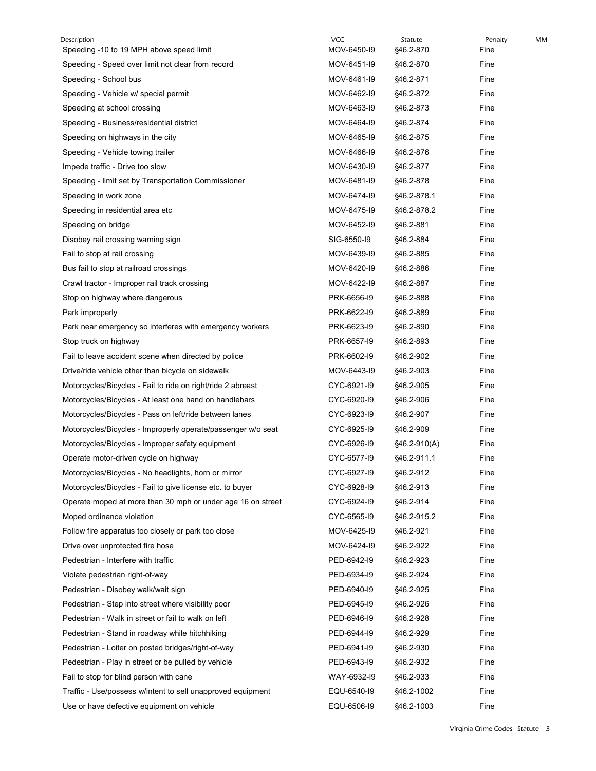| Description                                                                                                           | <b>VCC</b>                 | Statute                | Penalty      | МM |
|-----------------------------------------------------------------------------------------------------------------------|----------------------------|------------------------|--------------|----|
| Speeding -10 to 19 MPH above speed limit                                                                              | MOV-6450-I9                | §46.2-870              | Fine         |    |
| Speeding - Speed over limit not clear from record<br>Speeding - School bus                                            | MOV-6451-I9<br>MOV-6461-I9 | §46.2-870<br>§46.2-871 | Fine<br>Fine |    |
| Speeding - Vehicle w/ special permit                                                                                  | MOV-6462-I9                | §46.2-872              | Fine         |    |
| Speeding at school crossing                                                                                           | MOV-6463-I9                | §46.2-873              | Fine         |    |
| Speeding - Business/residential district                                                                              | MOV-6464-I9                | §46.2-874              | Fine         |    |
| Speeding on highways in the city                                                                                      | MOV-6465-19                | §46.2-875              | Fine         |    |
| Speeding - Vehicle towing trailer                                                                                     | MOV-6466-I9                | §46.2-876              | Fine         |    |
| Impede traffic - Drive too slow                                                                                       | MOV-6430-I9                | §46.2-877              | Fine         |    |
| Speeding - limit set by Transportation Commissioner                                                                   | MOV-6481-I9                | §46.2-878              | Fine         |    |
| Speeding in work zone                                                                                                 | MOV-6474-I9                | §46.2-878.1            | Fine         |    |
| Speeding in residential area etc                                                                                      | MOV-6475-19                | §46.2-878.2            | Fine         |    |
| Speeding on bridge                                                                                                    | MOV-6452-I9                | §46.2-881              | Fine         |    |
| Disobey rail crossing warning sign                                                                                    | SIG-6550-19                | §46.2-884              | Fine         |    |
| Fail to stop at rail crossing                                                                                         | MOV-6439-I9                | §46.2-885              | Fine         |    |
| Bus fail to stop at railroad crossings                                                                                | MOV-6420-I9                | §46.2-886              | Fine         |    |
| Crawl tractor - Improper rail track crossing                                                                          | MOV-6422-I9                | §46.2-887              | Fine         |    |
| Stop on highway where dangerous                                                                                       | PRK-6656-I9                | §46.2-888              | Fine         |    |
| Park improperly                                                                                                       | PRK-6622-I9                | §46.2-889              | Fine         |    |
| Park near emergency so interferes with emergency workers                                                              | PRK-6623-I9                | §46.2-890              | Fine         |    |
| Stop truck on highway                                                                                                 | PRK-6657-19                | §46.2-893              | Fine         |    |
| Fail to leave accident scene when directed by police                                                                  | PRK-6602-I9                | §46.2-902              | Fine         |    |
| Drive/ride vehicle other than bicycle on sidewalk                                                                     | MOV-6443-I9                | §46.2-903              | Fine<br>Fine |    |
| Motorcycles/Bicycles - Fail to ride on right/ride 2 abreast<br>Motorcycles/Bicycles - At least one hand on handlebars | CYC-6921-I9<br>CYC-6920-I9 | §46.2-905<br>§46.2-906 | Fine         |    |
| Motorcycles/Bicycles - Pass on left/ride between lanes                                                                | CYC-6923-I9                | §46.2-907              | Fine         |    |
| Motorcycles/Bicycles - Improperly operate/passenger w/o seat                                                          | CYC-6925-I9                | §46.2-909              | Fine         |    |
| Motorcycles/Bicycles - Improper safety equipment                                                                      | CYC-6926-I9                | §46.2-910(A)           | Fine         |    |
| Operate motor-driven cycle on highway                                                                                 | CYC-6577-I9                | §46.2-911.1            | Fine         |    |
| Motorcycles/Bicycles - No headlights, horn or mirror                                                                  | CYC-6927-I9                | §46.2-912              | Fine         |    |
| Motorcycles/Bicycles - Fail to give license etc. to buyer                                                             | CYC-6928-I9                | §46.2-913              | Fine         |    |
| Operate moped at more than 30 mph or under age 16 on street                                                           | CYC-6924-I9                | §46.2-914              | Fine         |    |
| Moped ordinance violation                                                                                             | CYC-6565-I9                | §46.2-915.2            | Fine         |    |
| Follow fire apparatus too closely or park too close                                                                   | MOV-6425-I9                | §46.2-921              | Fine         |    |
| Drive over unprotected fire hose                                                                                      | MOV-6424-I9                | §46.2-922              | Fine         |    |
| Pedestrian - Interfere with traffic                                                                                   | PED-6942-I9                | §46.2-923              | Fine         |    |
| Violate pedestrian right-of-way                                                                                       | PED-6934-I9                | §46.2-924              | Fine         |    |
| Pedestrian - Disobey walk/wait sign                                                                                   | PED-6940-I9                | §46.2-925              | Fine         |    |
| Pedestrian - Step into street where visibility poor                                                                   | PED-6945-I9                | §46.2-926              | Fine         |    |
| Pedestrian - Walk in street or fail to walk on left                                                                   | PED-6946-I9                | §46.2-928              | Fine         |    |
| Pedestrian - Stand in roadway while hitchhiking                                                                       | PED-6944-I9                | §46.2-929              | Fine         |    |
| Pedestrian - Loiter on posted bridges/right-of-way                                                                    | PED-6941-I9                | §46.2-930              | Fine         |    |
| Pedestrian - Play in street or be pulled by vehicle                                                                   | PED-6943-I9                | §46.2-932              | Fine         |    |
| Fail to stop for blind person with cane                                                                               | WAY-6932-I9                | §46.2-933              | Fine         |    |
| Traffic - Use/possess w/intent to sell unapproved equipment                                                           | EQU-6540-I9                | §46.2-1002             | Fine         |    |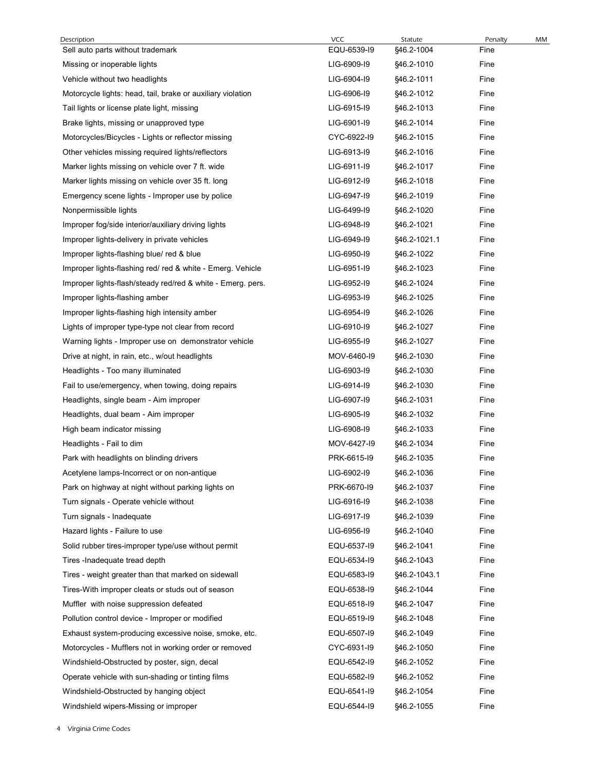| Description                                                                                           | <b>VCC</b>                 | Statute                  | Penalty      | МM |
|-------------------------------------------------------------------------------------------------------|----------------------------|--------------------------|--------------|----|
| Sell auto parts without trademark                                                                     | EQU-6539-I9                | §46.2-1004               | Fine         |    |
| Missing or inoperable lights                                                                          | LIG-6909-I9                | §46.2-1010               | Fine         |    |
| Vehicle without two headlights                                                                        | LIG-6904-I9                | §46.2-1011               | Fine         |    |
| Motorcycle lights: head, tail, brake or auxiliary violation                                           | LIG-6906-I9                | §46.2-1012               | Fine         |    |
| Tail lights or license plate light, missing                                                           | LIG-6915-I9                | §46.2-1013               | Fine         |    |
| Brake lights, missing or unapproved type                                                              | LIG-6901-I9                | §46.2-1014               | Fine         |    |
| Motorcycles/Bicycles - Lights or reflector missing                                                    | CYC-6922-I9                | §46.2-1015               | Fine         |    |
| Other vehicles missing required lights/reflectors<br>Marker lights missing on vehicle over 7 ft. wide | LIG-6913-I9<br>LIG-6911-I9 | §46.2-1016<br>§46.2-1017 | Fine<br>Fine |    |
| Marker lights missing on vehicle over 35 ft. long                                                     | LIG-6912-I9                | §46.2-1018               | Fine         |    |
| Emergency scene lights - Improper use by police                                                       | LIG-6947-19                | §46.2-1019               | Fine         |    |
| Nonpermissible lights                                                                                 | LIG-6499-I9                | §46.2-1020               | Fine         |    |
| Improper fog/side interior/auxiliary driving lights                                                   | LIG-6948-I9                | §46.2-1021               | Fine         |    |
| Improper lights-delivery in private vehicles                                                          | LIG-6949-I9                | §46.2-1021.1             | Fine         |    |
| Improper lights-flashing blue/ red & blue                                                             | LIG-6950-I9                | §46.2-1022               | Fine         |    |
| Improper lights-flashing red/ red & white - Emerg. Vehicle                                            | LIG-6951-I9                | §46.2-1023               | Fine         |    |
| Improper lights-flash/steady red/red & white - Emerg. pers.                                           | LIG-6952-I9                | §46.2-1024               | Fine         |    |
| Improper lights-flashing amber                                                                        | LIG-6953-I9                | §46.2-1025               | Fine         |    |
| Improper lights-flashing high intensity amber                                                         | LIG-6954-I9                | §46.2-1026               | Fine         |    |
| Lights of improper type-type not clear from record                                                    | LIG-6910-I9                | §46.2-1027               | Fine         |    |
| Warning lights - Improper use on demonstrator vehicle                                                 | LIG-6955-19                | §46.2-1027               | Fine         |    |
| Drive at night, in rain, etc., w/out headlights                                                       | MOV-6460-I9                | §46.2-1030               | Fine         |    |
| Headlights - Too many illuminated                                                                     | LIG-6903-I9                | §46.2-1030               | Fine         |    |
| Fail to use/emergency, when towing, doing repairs                                                     | LIG-6914-I9                | §46.2-1030               | Fine         |    |
| Headlights, single beam - Aim improper                                                                | LIG-6907-19                | §46.2-1031               | Fine         |    |
| Headlights, dual beam - Aim improper                                                                  | LIG-6905-I9                | §46.2-1032               | Fine         |    |
| High beam indicator missing                                                                           | LIG-6908-I9                | §46.2-1033               | Fine         |    |
| Headlights - Fail to dim                                                                              | MOV-6427-19                | §46.2-1034               | Fine         |    |
| Park with headlights on blinding drivers                                                              | PRK-6615-I9                | §46.2-1035               | Fine         |    |
| Acetylene lamps-Incorrect or on non-antique                                                           | LIG-6902-I9                | §46.2-1036               | Fine         |    |
| Park on highway at night without parking lights on                                                    | PRK-6670-I9                | §46.2-1037               | Fine         |    |
| Turn signals - Operate vehicle without                                                                | LIG-6916-I9                | §46.2-1038               | Fine         |    |
| Turn signals - Inadequate                                                                             | LIG-6917-19                | §46.2-1039               | Fine         |    |
| Hazard lights - Failure to use                                                                        | LIG-6956-19                | §46.2-1040               | Fine         |    |
| Solid rubber tires-improper type/use without permit                                                   | EQU-6537-19                | §46.2-1041               | Fine         |    |
| Tires - Inadequate tread depth                                                                        | EQU-6534-I9                | §46.2-1043               | Fine         |    |
| Tires - weight greater than that marked on sidewall                                                   | EQU-6583-I9                | §46.2-1043.1             | Fine         |    |
| Tires-With improper cleats or studs out of season                                                     | EQU-6538-I9                | §46.2-1044               | Fine         |    |
| Muffler with noise suppression defeated                                                               | EQU-6518-I9                | §46.2-1047               | Fine         |    |
| Pollution control device - Improper or modified                                                       | EQU-6519-I9                | §46.2-1048               | Fine         |    |
| Exhaust system-producing excessive noise, smoke, etc.                                                 | EQU-6507-19                | §46.2-1049               | Fine         |    |
| Motorcycles - Mufflers not in working order or removed                                                | CYC-6931-I9                | §46.2-1050               | Fine         |    |
| Windshield-Obstructed by poster, sign, decal                                                          | EQU-6542-I9                | §46.2-1052               | Fine         |    |
| Operate vehicle with sun-shading or tinting films                                                     | EQU-6582-I9                | §46.2-1052               | Fine         |    |
| Windshield-Obstructed by hanging object                                                               | EQU-6541-I9                | §46.2-1054               | Fine         |    |
| Windshield wipers-Missing or improper                                                                 | EQU-6544-I9                | §46.2-1055               | Fine         |    |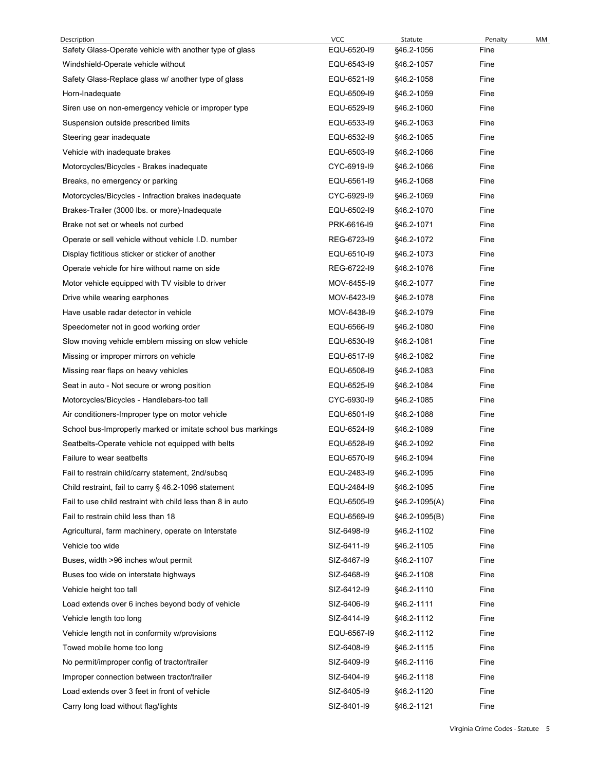| Description                                                                                 | <b>VCC</b>                 | Statute                  | Penalty      | МM |
|---------------------------------------------------------------------------------------------|----------------------------|--------------------------|--------------|----|
| Safety Glass-Operate vehicle with another type of glass                                     | EQU-6520-I9                | §46.2-1056               | Fine         |    |
| Windshield-Operate vehicle without                                                          | EQU-6543-I9<br>EQU-6521-I9 | §46.2-1057<br>§46.2-1058 | Fine<br>Fine |    |
| Safety Glass-Replace glass w/ another type of glass<br>Horn-Inadequate                      | EQU-6509-I9                | §46.2-1059               | Fine         |    |
| Siren use on non-emergency vehicle or improper type                                         | EQU-6529-I9                | §46.2-1060               | Fine         |    |
| Suspension outside prescribed limits                                                        | EQU-6533-I9                | §46.2-1063               | Fine         |    |
| Steering gear inadequate                                                                    | EQU-6532-I9                | §46.2-1065               | Fine         |    |
| Vehicle with inadequate brakes                                                              | EQU-6503-I9                | §46.2-1066               | Fine         |    |
| Motorcycles/Bicycles - Brakes inadequate                                                    | CYC-6919-I9                | §46.2-1066               | Fine         |    |
| Breaks, no emergency or parking                                                             | EQU-6561-I9                | §46.2-1068               | Fine         |    |
| Motorcycles/Bicycles - Infraction brakes inadequate                                         | CYC-6929-I9                | §46.2-1069               | Fine         |    |
| Brakes-Trailer (3000 lbs. or more)-Inadequate                                               | EQU-6502-I9                | §46.2-1070               | Fine         |    |
| Brake not set or wheels not curbed                                                          | PRK-6616-I9                | §46.2-1071               | Fine         |    |
| Operate or sell vehicle without vehicle I.D. number                                         | REG-6723-I9                | §46.2-1072               | Fine         |    |
| Display fictitious sticker or sticker of another                                            | EQU-6510-I9                | §46.2-1073               | Fine         |    |
| Operate vehicle for hire without name on side                                               | REG-6722-I9                | §46.2-1076               | Fine         |    |
| Motor vehicle equipped with TV visible to driver                                            | MOV-6455-19                | §46.2-1077               | Fine         |    |
| Drive while wearing earphones                                                               | MOV-6423-I9                | §46.2-1078               | Fine         |    |
| Have usable radar detector in vehicle<br>Speedometer not in good working order              | MOV-6438-I9<br>EQU-6566-I9 | §46.2-1079<br>§46.2-1080 | Fine<br>Fine |    |
| Slow moving vehicle emblem missing on slow vehicle                                          | EQU-6530-I9                | §46.2-1081               | Fine         |    |
| Missing or improper mirrors on vehicle                                                      | EQU-6517-I9                | §46.2-1082               | Fine         |    |
| Missing rear flaps on heavy vehicles                                                        | EQU-6508-I9                | §46.2-1083               | Fine         |    |
| Seat in auto - Not secure or wrong position                                                 | EQU-6525-I9                | §46.2-1084               | Fine         |    |
| Motorcycles/Bicycles - Handlebars-too tall                                                  | CYC-6930-I9                | §46.2-1085               | Fine         |    |
| Air conditioners-Improper type on motor vehicle                                             | EQU-6501-I9                | §46.2-1088               | Fine         |    |
| School bus-Improperly marked or imitate school bus markings                                 | EQU-6524-I9                | §46.2-1089               | Fine         |    |
| Seatbelts-Operate vehicle not equipped with belts                                           | EQU-6528-I9                | §46.2-1092               | Fine         |    |
| Failure to wear seatbelts                                                                   | EQU-6570-I9                | §46.2-1094               | Fine         |    |
| Fail to restrain child/carry statement, 2nd/subsq                                           | EQU-2483-I9                | §46.2-1095               | Fine         |    |
| Child restraint, fail to carry § 46.2-1096 statement                                        | EQU-2484-I9                | §46.2-1095               | Fine         |    |
| Fail to use child restraint with child less than 8 in auto                                  | EQU-6505-I9                | §46.2-1095(A)            | Fine         |    |
| Fail to restrain child less than 18                                                         | EQU-6569-I9                | §46.2-1095(B)            | Fine         |    |
| Agricultural, farm machinery, operate on Interstate                                         | SIZ-6498-I9                | §46.2-1102               | Fine         |    |
| Vehicle too wide                                                                            | SIZ-6411-19                | §46.2-1105               | Fine         |    |
| Buses, width >96 inches w/out permit                                                        | SIZ-6467-19                | §46.2-1107               | Fine         |    |
| Buses too wide on interstate highways                                                       | SIZ-6468-I9                | §46.2-1108               | Fine         |    |
| Vehicle height too tall                                                                     | SIZ-6412-I9                | §46.2-1110               | Fine         |    |
| Load extends over 6 inches beyond body of vehicle                                           | SIZ-6406-I9                | §46.2-1111               | Fine         |    |
| Vehicle length too long                                                                     | SIZ-6414-19                | §46.2-1112               | Fine         |    |
| Vehicle length not in conformity w/provisions                                               | EQU-6567-I9                | §46.2-1112               | Fine         |    |
| Towed mobile home too long                                                                  | SIZ-6408-I9<br>SIZ-6409-I9 | §46.2-1115               | Fine<br>Fine |    |
| No permit/improper config of tractor/trailer<br>Improper connection between tractor/trailer | SIZ-6404-19                | §46.2-1116<br>§46.2-1118 | Fine         |    |
| Load extends over 3 feet in front of vehicle                                                | SIZ-6405-I9                | §46.2-1120               | Fine         |    |
|                                                                                             | SIZ-6401-I9                | §46.2-1121               | Fine         |    |